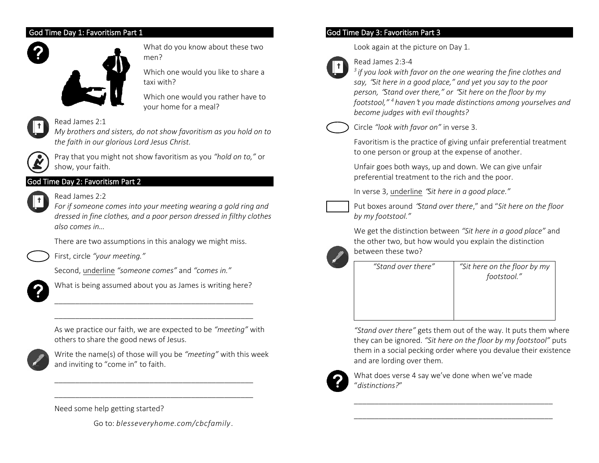### God Time Day 1: Favoritism Part 1



What do you know about these two men?

Which one would you like to share a taxi with?

Which one would you rather have to your home for a meal?



# Read James 2:1

*My brothers and sisters, do not show favoritism as you hold on to the faith in our glorious Lord Jesus Christ.* 



Pray that you might not show favoritism as you *"hold on to,"* or show, your faith.

# God Time Day 2: Favoritism Part 2



Read James 2:2

*For if someone comes into your meeting wearing a gold ring and dressed in fine clothes, and a poor person dressed in filthy clothes also comes in…*

There are two assumptions in this analogy we might miss.

First, circle *"your meeting."* 

Second, underline *"someone comes"* and *"comes in."*



What is being assumed about you as James is writing here?

\_\_\_\_\_\_\_\_\_\_\_\_\_\_\_\_\_\_\_\_\_\_\_\_\_\_\_\_\_\_\_\_\_\_\_\_\_\_\_\_\_\_\_\_\_\_\_\_ \_\_\_\_\_\_\_\_\_\_\_\_\_\_\_\_\_\_\_\_\_\_\_\_\_\_\_\_\_\_\_\_\_\_\_\_\_\_\_\_\_\_\_\_\_\_\_\_

As we practice our faith, we are expected to be *"meeting"* with others to share the good news of Jesus.



Write the name(s) of those will you be *"meeting"* with this week and inviting to "come in" to faith.

\_\_\_\_\_\_\_\_\_\_\_\_\_\_\_\_\_\_\_\_\_\_\_\_\_\_\_\_\_\_\_\_\_\_\_\_\_\_\_\_\_\_\_\_\_\_\_\_ \_\_\_\_\_\_\_\_\_\_\_\_\_\_\_\_\_\_\_\_\_\_\_\_\_\_\_\_\_\_\_\_\_\_\_\_\_\_\_\_\_\_\_\_\_\_\_\_

## Need some help getting started?

Go to: *blesseveryhome.com/cbcfamily*.

# God Time Day 3: Favoritism Part 3

Look again at the picture on Day 1.



# Read James 2:3-4

*3 if you look with favor on the one wearing the fine clothes and say,* "*Sit here in a good place," and yet you say to the poor person,* "*Stand over there," or* "*Sit here on the floor by my footstool," <sup>4</sup> haven*'*t you made distinctions among yourselves and become judges with evil thoughts?* 



Circle *"look with favor on"* in verse 3.

Favoritism is the practice of giving unfair preferential treatment to one person or group at the expense of another.

Unfair goes both ways, up and down. We can give unfair preferential treatment to the rich and the poor.

In verse 3, underline "*Sit here in a good place."* 



Put boxes around "*Stand over there*," and "*Sit here on the floor by my footstool."*

We get the distinction between *"Sit here in a good place"* and the other two, but how would you explain the distinction between these two?



*"Stand over there" "Sit here on the floor by my footstool."*

*"Stand over there"* gets them out of the way. It puts them where they can be ignored. *"Sit here on the floor by my footstool"* puts them in a social pecking order where you devalue their existence and are lording over them.



What does verse 4 say we've done when we've made "*distinctions?*"

\_\_\_\_\_\_\_\_\_\_\_\_\_\_\_\_\_\_\_\_\_\_\_\_\_\_\_\_\_\_\_\_\_\_\_\_\_\_\_\_\_\_\_\_\_\_\_\_ \_\_\_\_\_\_\_\_\_\_\_\_\_\_\_\_\_\_\_\_\_\_\_\_\_\_\_\_\_\_\_\_\_\_\_\_\_\_\_\_\_\_\_\_\_\_\_\_